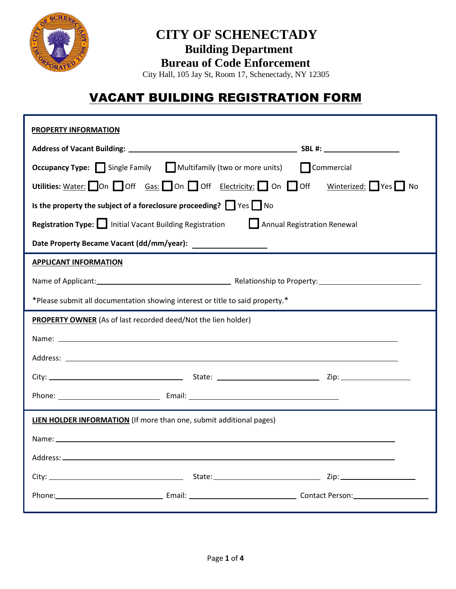

### **CITY OF SCHENECTADY Building Department Bureau of Code Enforcement**

City Hall, 105 Jay St, Room 17, Schenectady, NY 12305

# VACANT BUILDING REGISTRATION FORM

| <b>PROPERTY INFORMATION</b>                                                           |                                                                                 |  |  |  |  |  |  |  |
|---------------------------------------------------------------------------------------|---------------------------------------------------------------------------------|--|--|--|--|--|--|--|
|                                                                                       |                                                                                 |  |  |  |  |  |  |  |
|                                                                                       | <b>Occupancy Type:</b> Single Family Multifamily (two or more units) Commercial |  |  |  |  |  |  |  |
| Utilities: Water: On Off Gas: On Off Electricity: On Off Winterized: Ves No           |                                                                                 |  |  |  |  |  |  |  |
| Is the property the subject of a foreclosure proceeding? $\Box$ Yes $\Box$ No         |                                                                                 |  |  |  |  |  |  |  |
| Registration Type: Initial Vacant Building Registration   Annual Registration Renewal |                                                                                 |  |  |  |  |  |  |  |
|                                                                                       |                                                                                 |  |  |  |  |  |  |  |
| <b>APPLICANT INFORMATION</b>                                                          |                                                                                 |  |  |  |  |  |  |  |
|                                                                                       |                                                                                 |  |  |  |  |  |  |  |
| *Please submit all documentation showing interest or title to said property.*         |                                                                                 |  |  |  |  |  |  |  |
| PROPERTY OWNER (As of last recorded deed/Not the lien holder)                         |                                                                                 |  |  |  |  |  |  |  |
|                                                                                       |                                                                                 |  |  |  |  |  |  |  |
|                                                                                       |                                                                                 |  |  |  |  |  |  |  |
|                                                                                       |                                                                                 |  |  |  |  |  |  |  |
|                                                                                       |                                                                                 |  |  |  |  |  |  |  |
| <b>LIEN HOLDER INFORMATION</b> (If more than one, submit additional pages)            |                                                                                 |  |  |  |  |  |  |  |
|                                                                                       |                                                                                 |  |  |  |  |  |  |  |
| Address: _                                                                            |                                                                                 |  |  |  |  |  |  |  |
|                                                                                       |                                                                                 |  |  |  |  |  |  |  |
|                                                                                       |                                                                                 |  |  |  |  |  |  |  |
|                                                                                       |                                                                                 |  |  |  |  |  |  |  |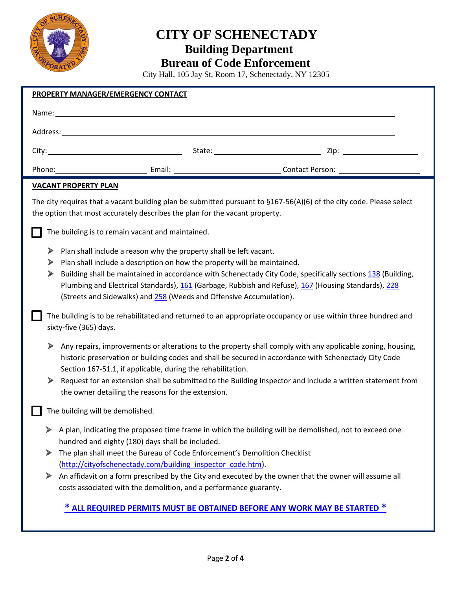

# **CITY OF SCHENECTADY Building Department**

#### **Bureau of Code Enforcement**

City Hall, 105 Jay St, Room 17, Schenectady, NY 12305

|  |                                                  | <b>PROPERTY MANAGER/EMERGENCY CONTACT</b>                                                                                                                                                                                                                                                                                                                                                                                                                                             |  |  |  |  |  |  |
|--|--------------------------------------------------|---------------------------------------------------------------------------------------------------------------------------------------------------------------------------------------------------------------------------------------------------------------------------------------------------------------------------------------------------------------------------------------------------------------------------------------------------------------------------------------|--|--|--|--|--|--|
|  |                                                  | Name: Name and the second contract of the second contract of the second contract of the second contract of the second contract of the second contract of the second contract of the second contract of the second contract of                                                                                                                                                                                                                                                         |  |  |  |  |  |  |
|  |                                                  |                                                                                                                                                                                                                                                                                                                                                                                                                                                                                       |  |  |  |  |  |  |
|  |                                                  |                                                                                                                                                                                                                                                                                                                                                                                                                                                                                       |  |  |  |  |  |  |
|  |                                                  |                                                                                                                                                                                                                                                                                                                                                                                                                                                                                       |  |  |  |  |  |  |
|  |                                                  | <b>VACANT PROPERTY PLAN</b>                                                                                                                                                                                                                                                                                                                                                                                                                                                           |  |  |  |  |  |  |
|  |                                                  | The city requires that a vacant building plan be submitted pursuant to §167-56(A)(6) of the city code. Please select<br>the option that most accurately describes the plan for the vacant property.                                                                                                                                                                                                                                                                                   |  |  |  |  |  |  |
|  | The building is to remain vacant and maintained. |                                                                                                                                                                                                                                                                                                                                                                                                                                                                                       |  |  |  |  |  |  |
|  | ⋗<br>▶<br>⋗                                      | Plan shall include a reason why the property shall be left vacant.<br>Plan shall include a description on how the property will be maintained.<br>Building shall be maintained in accordance with Schenectady City Code, specifically sections 138 (Building,<br>Plumbing and Electrical Standards), 161 (Garbage, Rubbish and Refuse), 167 (Housing Standards), 228<br>(Streets and Sidewalks) and 258 (Weeds and Offensive Accumulation).                                           |  |  |  |  |  |  |
|  |                                                  | The building is to be rehabilitated and returned to an appropriate occupancy or use within three hundred and<br>sixty-five (365) days.                                                                                                                                                                                                                                                                                                                                                |  |  |  |  |  |  |
|  | ➤                                                | Any repairs, improvements or alterations to the property shall comply with any applicable zoning, housing,<br>historic preservation or building codes and shall be secured in accordance with Schenectady City Code<br>Section 167-51.1, if applicable, during the rehabilitation.<br>Request for an extension shall be submitted to the Building Inspector and include a written statement from<br>the owner detailing the reasons for the extension.                                |  |  |  |  |  |  |
|  |                                                  | The building will be demolished.                                                                                                                                                                                                                                                                                                                                                                                                                                                      |  |  |  |  |  |  |
|  | ⋗<br>➤<br>⋗                                      | A plan, indicating the proposed time frame in which the building will be demolished, not to exceed one<br>hundred and eighty (180) days shall be included.<br>The plan shall meet the Bureau of Code Enforcement's Demolition Checklist<br>(http://cityofschenectady.com/building inspector code.htm).<br>An affidavit on a form prescribed by the City and executed by the owner that the owner will assume all<br>costs associated with the demolition, and a performance guaranty. |  |  |  |  |  |  |
|  |                                                  | * ALL REQUIRED PERMITS MUST BE OBTAINED BEFORE ANY WORK MAY BE STARTED *                                                                                                                                                                                                                                                                                                                                                                                                              |  |  |  |  |  |  |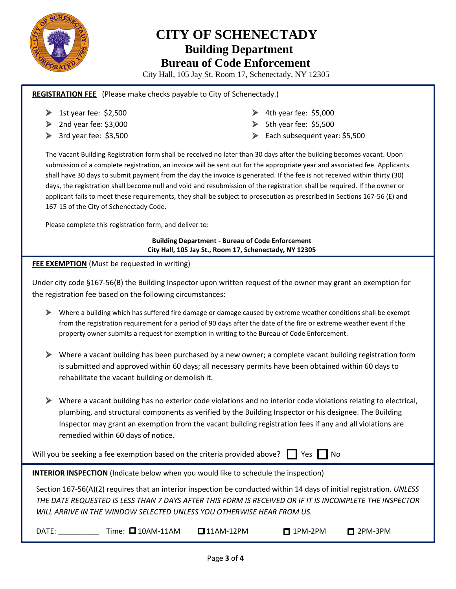

## **CITY OF SCHENECTADY Building Department Bureau of Code Enforcement**

City Hall, 105 Jay St, Room 17, Schenectady, NY 12305

#### **REGISTRATION FEE** (Please make checks payable to City of Schenectady.)

- $\blacktriangleright$  1st year fee: \$2,500
- $\geq$  2nd year fee: \$3,000
- $\triangleright$  3rd year fee: \$3,500
- $\blacktriangleright$  4th year fee: \$5,000
- $\triangleright$  5th year fee: \$5,500
- $\blacktriangleright$  Each subsequent year: \$5,500

The Vacant Building Registration form shall be received no later than 30 days after the building becomes vacant. Upon submission of a complete registration, an invoice will be sent out for the appropriate year and associated fee. Applicants shall have 30 days to submit payment from the day the invoice is generated. If the fee is not received within thirty (30) days, the registration shall become null and void and resubmission of the registration shall be required. If the owner or applicant fails to meet these requirements, they shall be subject to prosecution as prescribed in Sections 167-56 (E) and 167-15 of the City of Schenectady Code.

Please complete this registration form, and deliver to:

**Building Department - Bureau of Code Enforcement City Hall, 105 Jay St., Room 17, Schenectady, NY 12305**

#### **FEE EXEMPTION** (Must be requested in writing)

Under city code §167-56(B) the Building Inspector upon written request of the owner may grant an exemption for the registration fee based on the following circumstances:

- Where a building which has suffered fire damage or damage caused by extreme weather conditions shall be exempt from the registration requirement for a period of 90 days after the date of the fire or extreme weather event if the property owner submits a request for exemption in writing to the Bureau of Code Enforcement.
- Where a vacant building has been purchased by a new owner; a complete vacant building registration form is submitted and approved within 60 days; all necessary permits have been obtained within 60 days to rehabilitate the vacant building or demolish it.
- Where a vacant building has no exterior code violations and no interior code violations relating to electrical, plumbing, and structural components as verified by the Building Inspector or his designee. The Building Inspector may grant an exemption from the vacant building registration fees if any and all violations are remedied within 60 days of notice.

Will you be seeking a fee exemption based on the criteria provided above?  $\Box$  Yes  $\Box$  No

**INTERIOR INSPECTION** (Indicate below when you would like to schedule the inspection)

Section 167-56(A)(2) requires that an interior inspection be conducted within 14 days of initial registration. *UNLESS THE DATE REQUESTED IS LESS THAN 7 DAYS AFTER THIS FORM IS RECEIVED OR IF IT IS INCOMPLETE THE INSPECTOR WILL ARRIVE IN THE WINDOW SELECTED UNLESS YOU OTHERWISE HEAR FROM US.* 

DATE: \_\_\_\_\_\_\_\_\_\_\_ Time: 0 10AM-11AM 0 11AM-12PM 0 1PM-2PM 0 2PM-3PM